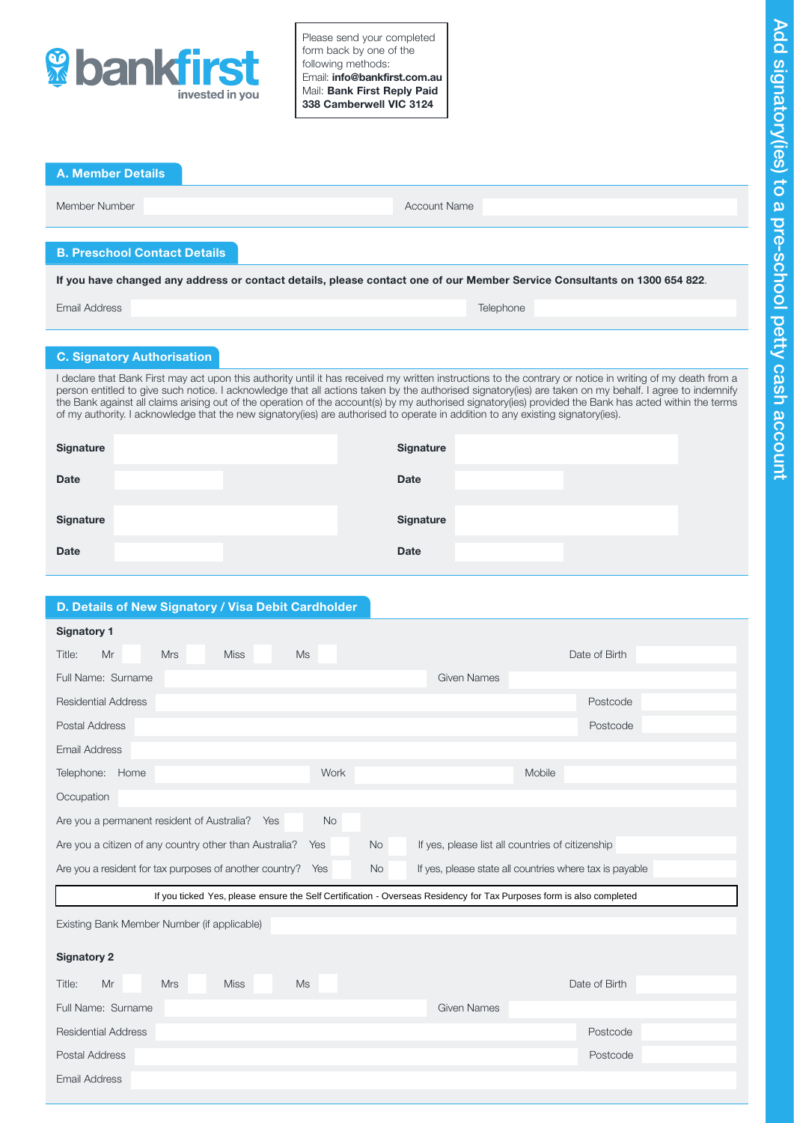

Please send your completed form back by one of the following methods: Email: info@bankfirst.com.au Mail: Bank First Reply Paid 338 Camberwell VIC 3124

| <b>A. Member Details</b>                                                                                                                                                                                                                                                                                                                                                                                                                                                                                                                                                                                              |                                   |  |                     |           |  |  |
|-----------------------------------------------------------------------------------------------------------------------------------------------------------------------------------------------------------------------------------------------------------------------------------------------------------------------------------------------------------------------------------------------------------------------------------------------------------------------------------------------------------------------------------------------------------------------------------------------------------------------|-----------------------------------|--|---------------------|-----------|--|--|
| Member Number                                                                                                                                                                                                                                                                                                                                                                                                                                                                                                                                                                                                         |                                   |  | <b>Account Name</b> |           |  |  |
| <b>B. Preschool Contact Details</b>                                                                                                                                                                                                                                                                                                                                                                                                                                                                                                                                                                                   |                                   |  |                     |           |  |  |
| If you have changed any address or contact details, please contact one of our Member Service Consultants on 1300 654 822.                                                                                                                                                                                                                                                                                                                                                                                                                                                                                             |                                   |  |                     |           |  |  |
| Email Address                                                                                                                                                                                                                                                                                                                                                                                                                                                                                                                                                                                                         |                                   |  |                     | Telephone |  |  |
|                                                                                                                                                                                                                                                                                                                                                                                                                                                                                                                                                                                                                       |                                   |  |                     |           |  |  |
|                                                                                                                                                                                                                                                                                                                                                                                                                                                                                                                                                                                                                       | <b>C. Signatory Authorisation</b> |  |                     |           |  |  |
| I declare that Bank First may act upon this authority until it has received my written instructions to the contrary or notice in writing of my death from a<br>person entitled to give such notice. I acknowledge that all actions taken by the authorised signatory(ies) are taken on my behalf. I agree to indemnify<br>the Bank against all claims arising out of the operation of the account(s) by my authorised signatory(ies) provided the Bank has acted within the terms<br>of my authority. I acknowledge that the new signatory(ies) are authorised to operate in addition to any existing signatory(ies). |                                   |  |                     |           |  |  |
| <b>Signature</b>                                                                                                                                                                                                                                                                                                                                                                                                                                                                                                                                                                                                      |                                   |  | <b>Signature</b>    |           |  |  |
| <b>Date</b>                                                                                                                                                                                                                                                                                                                                                                                                                                                                                                                                                                                                           |                                   |  | <b>Date</b>         |           |  |  |
|                                                                                                                                                                                                                                                                                                                                                                                                                                                                                                                                                                                                                       |                                   |  |                     |           |  |  |
| <b>Signature</b>                                                                                                                                                                                                                                                                                                                                                                                                                                                                                                                                                                                                      |                                   |  | <b>Signature</b>    |           |  |  |
| <b>Date</b>                                                                                                                                                                                                                                                                                                                                                                                                                                                                                                                                                                                                           |                                   |  | <b>Date</b>         |           |  |  |
|                                                                                                                                                                                                                                                                                                                                                                                                                                                                                                                                                                                                                       |                                   |  |                     |           |  |  |

# D. Details of New Signatory / Visa Debit Cardholder

Email Address

| <b>Signatory 1</b>                                                                                                                     |                    |  |  |  |  |  |  |
|----------------------------------------------------------------------------------------------------------------------------------------|--------------------|--|--|--|--|--|--|
| <b>Mrs</b><br><b>Miss</b><br><b>Ms</b><br>Title:<br>Mr                                                                                 | Date of Birth      |  |  |  |  |  |  |
| Full Name: Surname                                                                                                                     | <b>Given Names</b> |  |  |  |  |  |  |
| <b>Residential Address</b>                                                                                                             | Postcode           |  |  |  |  |  |  |
| Postal Address                                                                                                                         | Postcode           |  |  |  |  |  |  |
| <b>Email Address</b>                                                                                                                   |                    |  |  |  |  |  |  |
| Work<br>Telephone:<br>Home                                                                                                             | Mobile             |  |  |  |  |  |  |
| Occupation                                                                                                                             |                    |  |  |  |  |  |  |
| Are you a permanent resident of Australia?<br><b>No</b><br>Yes                                                                         |                    |  |  |  |  |  |  |
| Are you a citizen of any country other than Australia?<br><b>No</b><br>If yes, please list all countries of citizenship<br>Yes         |                    |  |  |  |  |  |  |
| Are you a resident for tax purposes of another country?<br>If yes, please state all countries where tax is payable<br><b>No</b><br>Yes |                    |  |  |  |  |  |  |
| If you ticked Yes, please ensure the Self Certification - Overseas Residency for Tax Purposes form is also completed                   |                    |  |  |  |  |  |  |
| Existing Bank Member Number (if applicable)                                                                                            |                    |  |  |  |  |  |  |
| <b>Signatory 2</b>                                                                                                                     |                    |  |  |  |  |  |  |
| <b>Miss</b><br>Title:<br>Mr<br><b>Mrs</b><br>Ms                                                                                        | Date of Birth      |  |  |  |  |  |  |
| Full Name: Surname                                                                                                                     | <b>Given Names</b> |  |  |  |  |  |  |

Residential Address Postcode Postal Address **Postcode**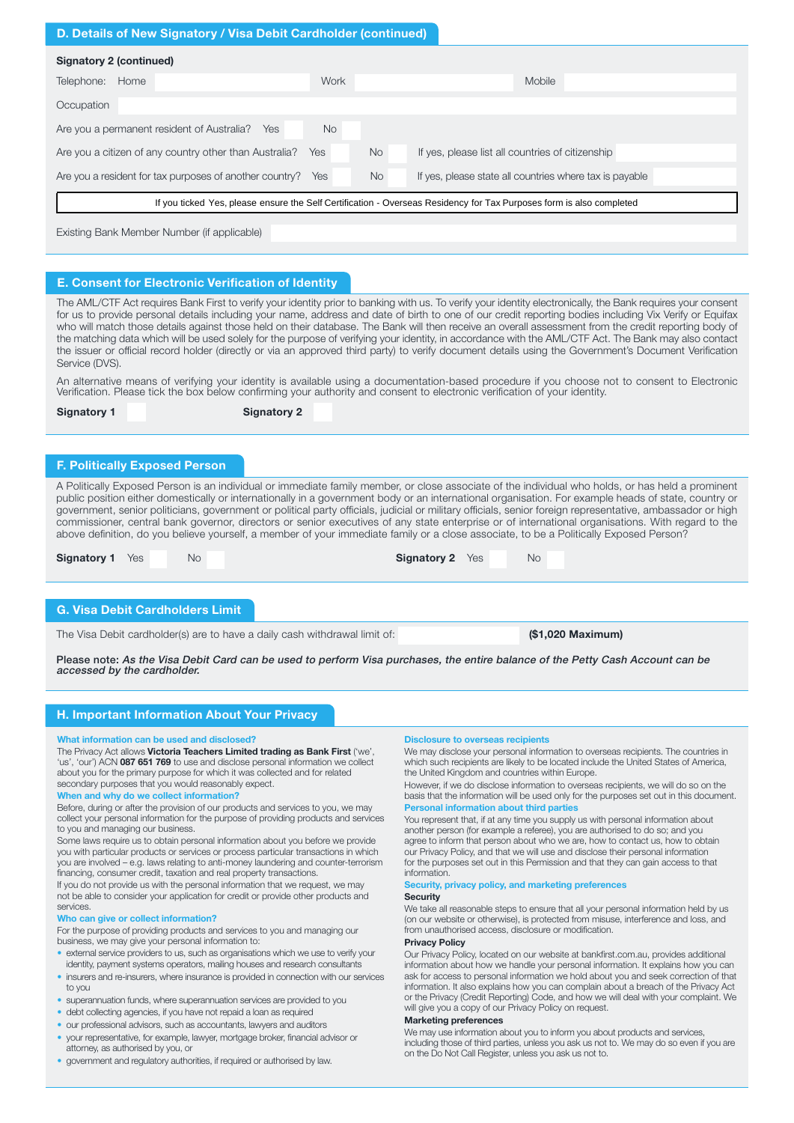# D. Details of New Signatory / Visa Debit Cardholder (continued)

| Signatory 2 (continued)                                                                                              |      |     |                                                         |  |  |  |  |
|----------------------------------------------------------------------------------------------------------------------|------|-----|---------------------------------------------------------|--|--|--|--|
| Home<br>Telephone:                                                                                                   | Work |     | Mobile                                                  |  |  |  |  |
| Occupation                                                                                                           |      |     |                                                         |  |  |  |  |
| Are you a permanent resident of Australia?<br><b>No</b><br>Yes                                                       |      |     |                                                         |  |  |  |  |
| Are you a citizen of any country other than Australia?<br><b>No</b><br><b>Yes</b>                                    |      |     | If yes, please list all countries of citizenship        |  |  |  |  |
| Are you a resident for tax purposes of another country?                                                              | Yes  | No. | If yes, please state all countries where tax is payable |  |  |  |  |
| If you ticked Yes, please ensure the Self Certification - Overseas Residency for Tax Purposes form is also completed |      |     |                                                         |  |  |  |  |
|                                                                                                                      |      |     |                                                         |  |  |  |  |

Existing Bank Member Number (if applicable)

# E. Consent for Electronic Verification of Identity

The AML/CTF Act requires Bank First to verify your identity prior to banking with us. To verify your identity electronically, the Bank requires your consent for us to provide personal details including your name, address and date of birth to one of our credit reporting bodies including Vix Verify or Equifax who will match those details against those held on their database. The Bank will then receive an overall assessment from the credit reporting body of the matching data which will be used solely for the purpose of verifying your identity, in accordance with the AML/CTF Act. The Bank may also contact the issuer or official record holder (directly or via an approved third party) to verify document details using the Government's Document Verification Service (DVS).

An alternative means of verifying your identity is available using a documentation-based procedure if you choose not to consent to Electronic Verification. Please tick the box below confirming your authority and consent to electronic verification of your identity.

Signatory 1 Signatory 2

### F. Politically Exposed Person

A Politically Exposed Person is an individual or immediate family member, or close associate of the individual who holds, or has held a prominent public position either domestically or internationally in a government body or an international organisation. For example heads of state, country or government, senior politicians, government or political party officials, judicial or military officials, senior foreign representative, ambassador or high commissioner, central bank governor, directors or senior executives of any state enterprise or of international organisations. With regard to the above definition, do you believe yourself, a member of your immediate family or a close associate, to be a Politically Exposed Person?

| <b>Signatory 1</b> Yes<br><b>Signatory 2</b> Yes<br><b>No</b><br>No |
|---------------------------------------------------------------------|
|---------------------------------------------------------------------|

### G. Visa Debit Cardholders Limit

The Visa Debit cardholder(s) are to have a daily cash withdrawal limit of: (\$1,020 Maximum)

Please note: As the Visa Debit Card can be used to perform Visa purchases, the entire balance of the Petty Cash Account can be accessed by the cardholder.

# H. Important Information About Your Privacy

#### What information can be used and disclosed?

The Privacy Act allows Victoria Teachers Limited trading as Bank First ('we', 'us', 'our') ACN 087 651 769 to use and disclose personal information we collect about you for the primary purpose for which it was collected and for related secondary purposes that you would reasonably expect.

### When and why do we collect information?

Before, during or after the provision of our products and services to you, we may collect your personal information for the purpose of providing products and services to you and managing our business.

Some laws require us to obtain personal information about you before we provide you with particular products or services or process particular transactions in which you are involved – e.g. laws relating to anti-money laundering and counter-terrorism financing, consumer credit, taxation and real property transactions.

If you do not provide us with the personal information that we request, we may not be able to consider your application for credit or provide other products and services.

### Who can give or collect information?

For the purpose of providing products and services to you and managing our business, we may give your personal information to:

- external service providers to us, such as organisations which we use to verify your identity, payment systems operators, mailing houses and research consultants
- insurers and re-insurers, where insurance is provided in connection with our services to you
- superannuation funds, where superannuation services are provided to you
- debt collecting agencies, if you have not repaid a loan as required
- our professional advisors, such as accountants, lawyers and auditors
- your representative, for example, lawyer, mortgage broker, financial advisor or attorney, as authorised by you, or
- government and regulatory authorities, if required or authorised by law.

# Disclosure to overseas recipients

We may disclose your personal information to overseas recipients. The countries in which such recipients are likely to be located include the United States of America, the United Kingdom and countries within Europe.

However, if we do disclose information to overseas recipients, we will do so on the basis that the information will be used only for the purposes set out in this document. Personal information about third part

You represent that, if at any time you supply us with personal information about another person (for example a referee), you are authorised to do so; and you agree to inform that person about who we are, how to contact us, how to obtain our Privacy Policy, and that we will use and disclose their personal information for the purposes set out in this Permission and that they can gain access to that information.

#### Security, privacy policy, and marketing preference **Security**

We take all reasonable steps to ensure that all your personal information held by us (on our website or otherwise), is protected from misuse, interference and loss, and from unauthorised access, disclosure or modification.

### Privacy Policy

Our Privacy Policy, located on our website at bankfirst.com.au, provides additional information about how we handle your personal information. It explains how you can ask for access to personal information we hold about you and seek correction of that information. It also explains how you can complain about a breach of the Privacy Act or the Privacy (Credit Reporting) Code, and how we will deal with your complaint. We will give you a copy of our Privacy Policy on request.

#### Marketing preferences

We may use information about you to inform you about products and services including those of third parties, unless you ask us not to. We may do so even if you are on the Do Not Call Register, unless you ask us not to.